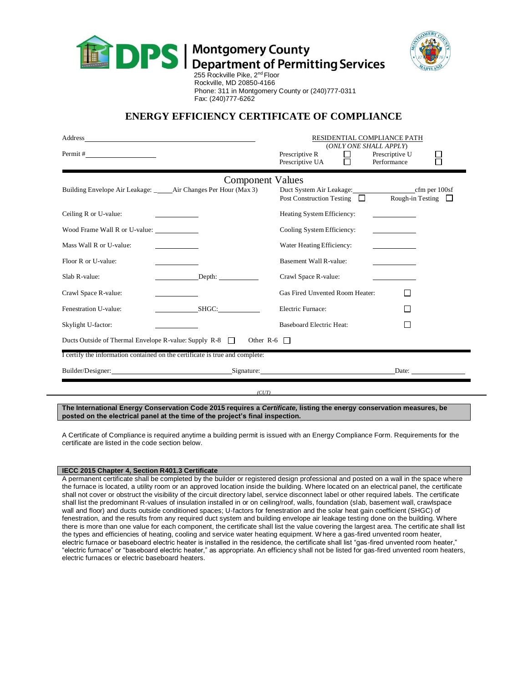



Rockville, MD 20850-4166 Phone: 311 in Montgomery County or (240)777-0311 Fax: (240)777-6262

## **ENERGY EFFICIENCY CERTIFICATE OF COMPLIANCE**

| Address_                                                                     |                                                               | RESIDENTIAL COMPLIANCE PATH<br>(ONLY ONE SHALL APPLY)                      |                               |
|------------------------------------------------------------------------------|---------------------------------------------------------------|----------------------------------------------------------------------------|-------------------------------|
| Permit #                                                                     |                                                               | Prescriptive R<br>$\mathsf{L}$<br>Prescriptive UA                          | Prescriptive U<br>Performance |
| <b>Component Values</b>                                                      |                                                               |                                                                            |                               |
|                                                                              | Building Envelope Air Leakage: _ Air Changes Per Hour (Max 3) | Duct System Air Leakage: cfm per 100sf<br>Post Construction Testing $\Box$ | Rough-in Testing $\Box$       |
| Ceiling R or U-value:                                                        |                                                               | Heating System Efficiency:                                                 |                               |
| Wood Frame Wall R or U-value: ______________                                 |                                                               | Cooling System Efficiency:                                                 |                               |
| Mass Wall R or U-value:                                                      |                                                               | Water Heating Efficiency:                                                  |                               |
| Floor R or U-value:                                                          |                                                               | <b>Basement Wall R-value:</b>                                              |                               |
| Slab R-value:                                                                | Depth:                                                        | Crawl Space R-value:                                                       |                               |
| Crawl Space R-value:                                                         |                                                               | Gas Fired Unvented Room Heater:                                            |                               |
| Fenestration U-value:                                                        | SHGC:                                                         | Electric Furnace:                                                          |                               |
| Skylight U-factor:                                                           |                                                               | <b>Baseboard Electric Heat:</b>                                            |                               |
| Ducts Outside of Thermal Envelope R-value: Supply $R-8$<br>Other R-6 $\Box$  |                                                               |                                                                            |                               |
| I certify the information contained on the certificate is true and complete: |                                                               |                                                                            |                               |
|                                                                              | Builder/Designer: Signature: Signature:                       |                                                                            | Date:                         |
| (CUT)                                                                        |                                                               |                                                                            |                               |

**The International Energy Conservation Code 2015 requires a** *Certificate,* **listing the energy conservation measures, be posted on the electrical panel at the time of the project's final inspection.**

A Certificate of Compliance is required anytime a building permit is issued with an Energy Compliance Form. Requirements for the certificate are listed in the code section below.

## **IECC 2015 Chapter 4, Section R401.3 Certificate**

A permanent certificate shall be completed by the builder or registered design professional and posted on a wall in the space where the furnace is located, a utility room or an approved location inside the building. Where located on an electrical panel, the certificate shall not cover or obstruct the visibility of the circuit directory label, service disconnect label or other required labels. The certificate shall list the predominant R-values of insulation installed in or on ceiling/roof, walls, foundation (slab, basement wall, crawlspace wall and floor) and ducts outside conditioned spaces; U-factors for fenestration and the solar heat gain coefficient (SHGC) of fenestration, and the results from any required duct system and building envelope air leakage testing done on the building. Where there is more than one value for each component, the certificate shall list the value covering the largest area. The certificate shall list the types and efficiencies of heating, cooling and service water heating equipment. Where a gas-fired unvented room heater, electric furnace or baseboard electric heater is installed in the residence, the certificate shall list "gas-fired unvented room heater," "electric furnace" or "baseboard electric heater," as appropriate. An efficiency shall not be listed for gas-fired unvented room heaters, electric furnaces or electric baseboard heaters.